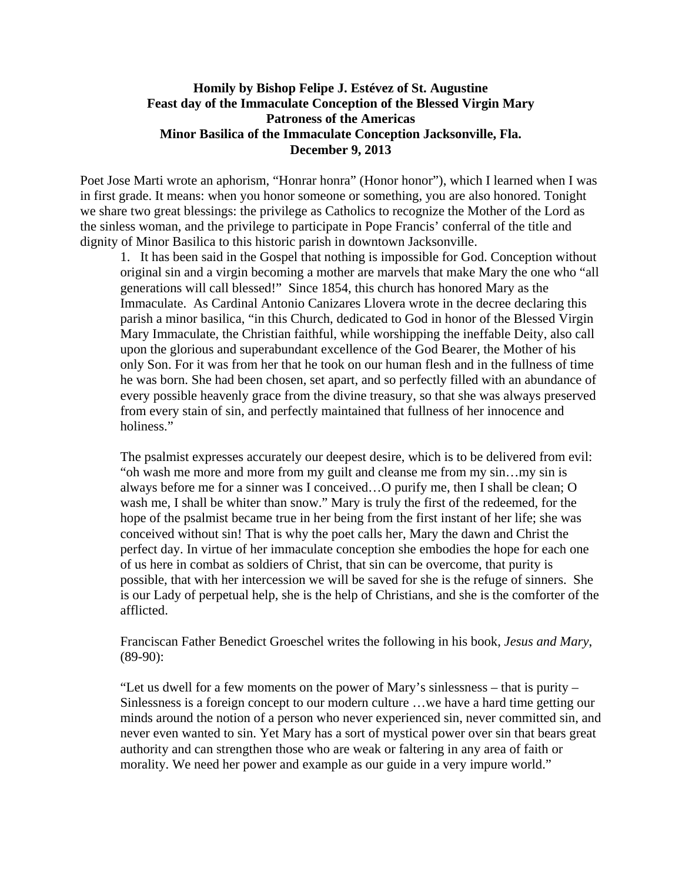## **Homily by Bishop Felipe J. Estévez of St. Augustine Feast day of the Immaculate Conception of the Blessed Virgin Mary Patroness of the Americas Minor Basilica of the Immaculate Conception Jacksonville, Fla. December 9, 2013**

Poet Jose Marti wrote an aphorism, "Honrar honra" (Honor honor"), which I learned when I was in first grade. It means: when you honor someone or something, you are also honored. Tonight we share two great blessings: the privilege as Catholics to recognize the Mother of the Lord as the sinless woman, and the privilege to participate in Pope Francis' conferral of the title and dignity of Minor Basilica to this historic parish in downtown Jacksonville.

1. It has been said in the Gospel that nothing is impossible for God. Conception without original sin and a virgin becoming a mother are marvels that make Mary the one who "all generations will call blessed!" Since 1854, this church has honored Mary as the Immaculate. As Cardinal Antonio Canizares Llovera wrote in the decree declaring this parish a minor basilica, "in this Church, dedicated to God in honor of the Blessed Virgin Mary Immaculate, the Christian faithful, while worshipping the ineffable Deity, also call upon the glorious and superabundant excellence of the God Bearer, the Mother of his only Son. For it was from her that he took on our human flesh and in the fullness of time he was born. She had been chosen, set apart, and so perfectly filled with an abundance of every possible heavenly grace from the divine treasury, so that she was always preserved from every stain of sin, and perfectly maintained that fullness of her innocence and holiness."

The psalmist expresses accurately our deepest desire, which is to be delivered from evil: "oh wash me more and more from my guilt and cleanse me from my sin…my sin is always before me for a sinner was I conceived…O purify me, then I shall be clean; O wash me, I shall be whiter than snow." Mary is truly the first of the redeemed, for the hope of the psalmist became true in her being from the first instant of her life; she was conceived without sin! That is why the poet calls her, Mary the dawn and Christ the perfect day. In virtue of her immaculate conception she embodies the hope for each one of us here in combat as soldiers of Christ, that sin can be overcome, that purity is possible, that with her intercession we will be saved for she is the refuge of sinners. She is our Lady of perpetual help, she is the help of Christians, and she is the comforter of the afflicted.

Franciscan Father Benedict Groeschel writes the following in his book, *Jesus and Mary*, (89-90):

"Let us dwell for a few moments on the power of Mary's sinlessness – that is purity – Sinlessness is a foreign concept to our modern culture …we have a hard time getting our minds around the notion of a person who never experienced sin, never committed sin, and never even wanted to sin. Yet Mary has a sort of mystical power over sin that bears great authority and can strengthen those who are weak or faltering in any area of faith or morality. We need her power and example as our guide in a very impure world."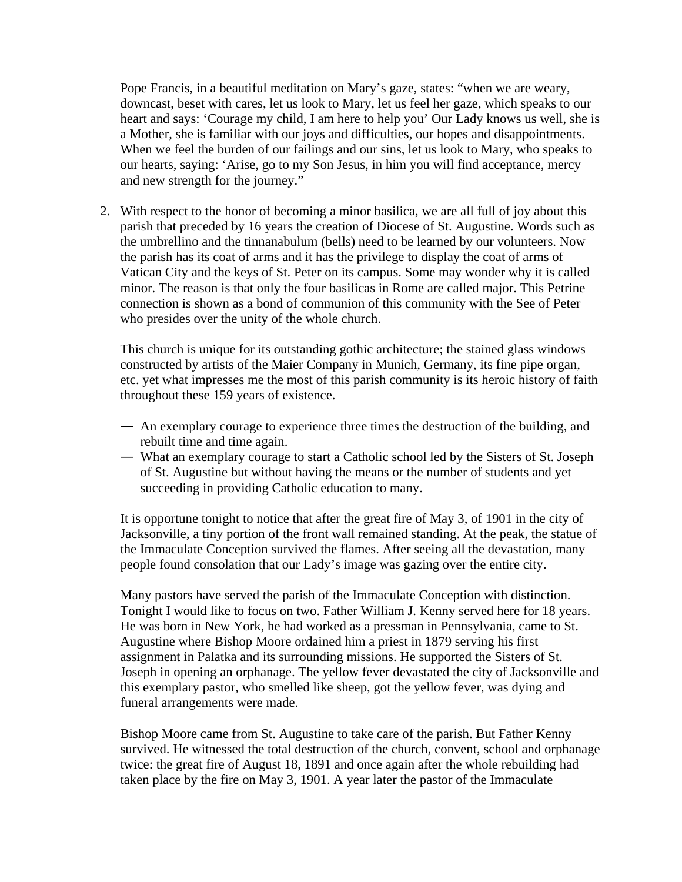Pope Francis, in a beautiful meditation on Mary's gaze, states: "when we are weary, downcast, beset with cares, let us look to Mary, let us feel her gaze, which speaks to our heart and says: 'Courage my child, I am here to help you' Our Lady knows us well, she is a Mother, she is familiar with our joys and difficulties, our hopes and disappointments. When we feel the burden of our failings and our sins, let us look to Mary, who speaks to our hearts, saying: 'Arise, go to my Son Jesus, in him you will find acceptance, mercy and new strength for the journey."

2. With respect to the honor of becoming a minor basilica, we are all full of joy about this parish that preceded by 16 years the creation of Diocese of St. Augustine. Words such as the umbrellino and the tinnanabulum (bells) need to be learned by our volunteers. Now the parish has its coat of arms and it has the privilege to display the coat of arms of Vatican City and the keys of St. Peter on its campus. Some may wonder why it is called minor. The reason is that only the four basilicas in Rome are called major. This Petrine connection is shown as a bond of communion of this community with the See of Peter who presides over the unity of the whole church.

This church is unique for its outstanding gothic architecture; the stained glass windows constructed by artists of the Maier Company in Munich, Germany, its fine pipe organ, etc. yet what impresses me the most of this parish community is its heroic history of faith throughout these 159 years of existence.

- An exemplary courage to experience three times the destruction of the building, and rebuilt time and time again.
- What an exemplary courage to start a Catholic school led by the Sisters of St. Joseph of St. Augustine but without having the means or the number of students and yet succeeding in providing Catholic education to many.

It is opportune tonight to notice that after the great fire of May 3, of 1901 in the city of Jacksonville, a tiny portion of the front wall remained standing. At the peak, the statue of the Immaculate Conception survived the flames. After seeing all the devastation, many people found consolation that our Lady's image was gazing over the entire city.

Many pastors have served the parish of the Immaculate Conception with distinction. Tonight I would like to focus on two. Father William J. Kenny served here for 18 years. He was born in New York, he had worked as a pressman in Pennsylvania, came to St. Augustine where Bishop Moore ordained him a priest in 1879 serving his first assignment in Palatka and its surrounding missions. He supported the Sisters of St. Joseph in opening an orphanage. The yellow fever devastated the city of Jacksonville and this exemplary pastor, who smelled like sheep, got the yellow fever, was dying and funeral arrangements were made.

Bishop Moore came from St. Augustine to take care of the parish. But Father Kenny survived. He witnessed the total destruction of the church, convent, school and orphanage twice: the great fire of August 18, 1891 and once again after the whole rebuilding had taken place by the fire on May 3, 1901. A year later the pastor of the Immaculate